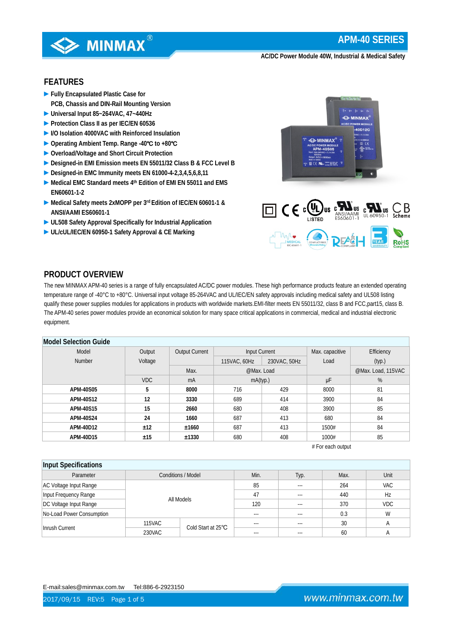

## **FEATURES**

- **►Fully Encapsulated Plastic Case for PCB, Chassis and DIN-Rail Mounting Version**
- **►Universal Input 85~264VAC, 47~440Hz**
- **►Protection Class II as per IEC/EN 60536**
- **►I/O Isolation 4000VAC with Reinforced Insulation**
- **►Operating Ambient Temp. Range -40**℃ **to +80**℃
- **►Overload/Voltage and Short Circuit Protection**
- **►Designed-in EMI Emission meets EN 55011/32 Class B & FCC Level B**
- **►Designed-in EMC Immunity meets EN 61000-4-2,3,4,5,6,8,11**
- **►Medical EMC Standard meets 4th Edition of EMI EN 55011 and EMS EN60601-1-2**
- **►Medical Safety meets 2xMOPP per 3rd Edition of IEC/EN 60601-1 & ANSI/AAMI ES60601-1**
- **►UL508 Safety Approval Specifically for Industrial Application**
- **►UL/cUL/IEC/EN 60950-1 Safety Approval & CE Marking**





## **PRODUCT OVERVIEW**

The new MINMAX APM-40 series is a range of fully encapsulated AC/DC power modules. These high performance products feature an extended operating temperature range of -40°C to +80°C. Universal input voltage 85-264VAC and UL/IEC/EN safety approvals including medical safety and UL508 listing qualify these power supplies modules for applications in products with worldwide markets.EMI-filter meets EN 55011/32, class B and FCC,part15, class B. The APM-40 series power modules provide an economical solution for many space critical applications in commercial, medical and industrial electronic equipment.

## **Model Selection Guide**

| <b>INIUUCI JEIEUIIUII UUIUE</b> |            |                       |               |              |                 |                    |  |
|---------------------------------|------------|-----------------------|---------------|--------------|-----------------|--------------------|--|
| Model                           | Output     | <b>Output Current</b> | Input Current |              | Max. capacitive | Efficiency         |  |
| <b>Number</b>                   | Voltage    |                       | 115VAC, 60Hz  | 230VAC, 50Hz | Load            | (typ.)             |  |
|                                 |            | Max.                  | @Max. Load    |              |                 | @Max. Load, 115VAC |  |
|                                 | <b>VDC</b> | mA                    | mA(typ.)      |              | μF              | %                  |  |
| APM-40S05                       | b          | 8000                  | 716           | 429          | 8000            | 81                 |  |
| APM-40S12                       | 12         | 3330                  | 689           | 414          | 3900            | 84                 |  |
| APM-40S15                       | 15         | 2660                  | 680           | 408          | 3900            | 85                 |  |
| APM-40S24                       | 24         | 1660                  | 687           | 413          | 680             | 84                 |  |
| APM-40D12                       | ±12        | ±1660                 | 687           | 413          | 1500#           | 84                 |  |
| APM-40D15                       | ±15        | ±1330                 | 680           | 408          | 1000#           | 85                 |  |

# For each output

| Input Specifications      |               |                           |       |          |      |                |  |  |
|---------------------------|---------------|---------------------------|-------|----------|------|----------------|--|--|
| Parameter                 |               | <b>Conditions / Model</b> | Min.  | Typ.     | Max. | Unit           |  |  |
| AC Voltage Input Range    |               |                           | 85    | $\cdots$ | 264  | VAC            |  |  |
| Input Frequency Range     |               |                           | 47    | $--$     | 440  | Hz             |  |  |
| DC Voltage Input Range    | All Models    |                           | 120   | $---$    | 370  | <b>VDC</b>     |  |  |
| No-Load Power Consumption |               |                           | ---   | $- - -$  | 0.3  | W              |  |  |
| Inrush Current            | <b>115VAC</b> | Cold Start at 25°C        | ---   | $---$    | 30   | $\overline{A}$ |  |  |
|                           | 230VAC        |                           | $---$ | $- - -$  | 60   | $\overline{A}$ |  |  |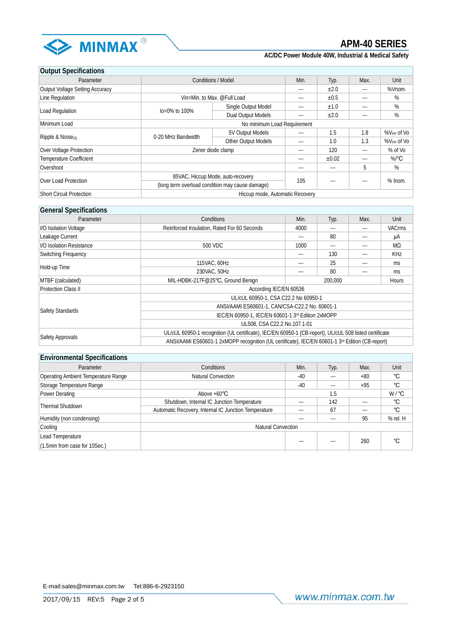

| <b>Output Specifications</b>    |                     |                                                                                      |       |           |         |                        |  |
|---------------------------------|---------------------|--------------------------------------------------------------------------------------|-------|-----------|---------|------------------------|--|
| Parameter                       |                     | <b>Conditions / Model</b>                                                            | Min.  | Typ.      | Max.    | Unit                   |  |
| Output Voltage Setting Accuracy |                     |                                                                                      | $---$ | ±2.0      | $---$   | %Vnom.                 |  |
| Line Regulation                 |                     | Vin=Min. to Max. @Full Load                                                          | ---   | $\pm 0.5$ | $- - -$ | %                      |  |
|                                 |                     | Single Output Model                                                                  | $---$ | ±1.0      | $---$   | %                      |  |
| Load Regulation                 | $I_0 = 0\%$ to 100% | Dual Output Models                                                                   | $---$ | ±2.0      | $- - -$ | %                      |  |
| Minimum Load                    |                     | No minimum Load Requirement                                                          |       |           |         |                        |  |
|                                 |                     | 5V Output Models                                                                     | ---   | 1.5       | 1.8     | %V <sub>PP</sub> of Vo |  |
| Ripple & Noise <sub>(3)</sub>   | 0-20 MHz Bandwidth  | Other Output Models                                                                  | $---$ | 1.0       | 1.3     | %V <sub>PP</sub> of Vo |  |
| Over Voltage Protection         |                     | Zener diode clamp                                                                    |       |           |         | % of Vo                |  |
| <b>Temperature Coefficient</b>  |                     |                                                                                      | $---$ | ±0.02     | $---$   | $%$ <sup>°</sup> C     |  |
| Overshoot                       |                     |                                                                                      | $---$ | $---$     | 5       | %                      |  |
|                                 |                     | 85VAC, Hiccup Mode, auto-recovery<br>(long term overload condition may cause damage) |       |           |         |                        |  |
| Over Load Protection            |                     |                                                                                      |       | $---$     | $- - -$ | $%$ lnom.              |  |
| <b>Short Circuit Protection</b> |                     | Hiccup mode, Automatic Recovery                                                      |       |           |         |                        |  |

## **General Specifications**

| Parameter                  | Conditions                                                                                                  | Min.                    | Typ.     | Max. | Unit          |  |  |
|----------------------------|-------------------------------------------------------------------------------------------------------------|-------------------------|----------|------|---------------|--|--|
| I/O Isolation Voltage      | Reinforced Insulation, Rated For 60 Seconds                                                                 | 4000<br>$---$<br>---    |          |      | <b>VACrms</b> |  |  |
| Leakage Current            |                                                                                                             | 80<br>$---$             |          | μA   |               |  |  |
| I/O Isolation Resistance   | 500 VDC                                                                                                     | 1000                    | $\cdots$ |      | MΩ            |  |  |
| Switching Frequency        |                                                                                                             | 130<br>$---$<br>---     |          |      | <b>KHz</b>    |  |  |
|                            | 115VAC, 60Hz                                                                                                | $---$                   | 25       | ---  | ms            |  |  |
| Hold-up Time               | 230VAC, 50Hz                                                                                                | $---$                   | 80       |      | ms            |  |  |
| MTBF (calculated)          | MIL-HDBK-217F@25°C, Ground Benign                                                                           | 200.000<br><b>Hours</b> |          |      |               |  |  |
| <b>Protection Class II</b> | According IEC/EN 60536                                                                                      |                         |          |      |               |  |  |
|                            | UL/cUL 60950-1, CSA C22.2 No 60950-1                                                                        |                         |          |      |               |  |  |
|                            | ANSI/AAMI ES60601-1, CAN/CSA-C22.2 No. 60601-1                                                              |                         |          |      |               |  |  |
| Safety Standards           | IEC/EN 60950-1, IEC/EN 60601-1 3rd Edition 2xMOPP                                                           |                         |          |      |               |  |  |
|                            | UL508, CSA C22.2 No.107.1-01                                                                                |                         |          |      |               |  |  |
|                            | UL/cUL 60950-1 recognition (UL certificate), IEC/EN 60950-1 (CB-report), UL/cUL 508 listed certificate      |                         |          |      |               |  |  |
| Safety Approvals           | ANSI/AAMI ES60601-1 2xMOPP recognition (UL certificate), IEC/EN 60601-1 3 <sup>rd</sup> Edition (CB-report) |                         |          |      |               |  |  |

### **Environmental Specifications**

| Parameter                           | <b>Conditions</b>                                    | Min.    | Typ.    | Max.    | Unit              |  |
|-------------------------------------|------------------------------------------------------|---------|---------|---------|-------------------|--|
| Operating Ambient Temperature Range | <b>Natural Convection</b>                            | $-40$   | $---$   | $+80$   | °C                |  |
| Storage Temperature Range           |                                                      | $-40$   | $---$   | $+95$   | °C                |  |
| Power Derating                      | Above $+60^{\circ}$ C                                |         | 1.5     |         | $W / {}^{\circ}C$ |  |
| <b>Thermal Shutdown</b>             | Shutdown, Internal IC Junction Temperature           | $- - -$ | 142     | $---$   | °C                |  |
|                                     | Automatic Recovery, Internal IC Junction Temperature | $- - -$ | 67      | $- - -$ | °C                |  |
| Humidity (non condensing)           |                                                      | $- - -$ | $- - -$ | 95      | % rel. H          |  |
| Cooling                             | <b>Natural Convection</b>                            |         |         |         |                   |  |
| Lead Temperature                    |                                                      |         |         |         |                   |  |
| $(1.5$ mm from case for 10Sec.)     |                                                      | ---     | $---$   | 260     | °C                |  |

E-mail:sales@minmax.com.tw Tel:886-6-2923150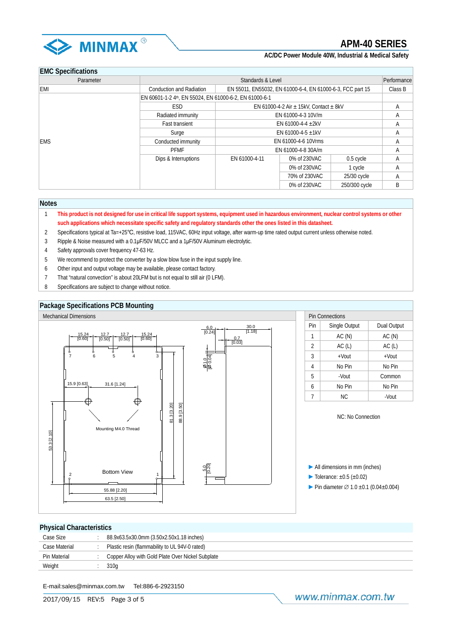

## **EMC Specifications**

| Parameter  | Standards & Level<br>Performance                       |                                                            |                    |               |         |  |
|------------|--------------------------------------------------------|------------------------------------------------------------|--------------------|---------------|---------|--|
| EMI        | <b>Conduction and Radiation</b>                        | EN 55011, EN55032, EN 61000-6-4, EN 61000-6-3, FCC part 15 |                    |               | Class B |  |
|            | EN 60601-1-2 4th, EN 55024, EN 61000-6-2, EN 61000-6-1 |                                                            |                    |               |         |  |
|            | <b>ESD</b>                                             | EN 61000-4-2 Air $\pm$ 15kV, Contact $\pm$ 8kV             |                    |               | A       |  |
|            | Radiated immunity                                      |                                                            | EN 61000-4-3 10V/m |               | A       |  |
|            | <b>Fast transient</b>                                  | EN 61000-4-4 $\pm$ 2kV                                     |                    |               | A       |  |
|            | Surge                                                  | EN 61000-4-5 $\pm$ 1kV                                     |                    |               | A       |  |
| <b>EMS</b> | Conducted immunity                                     | EN 61000-4-6 10Vrms                                        | A                  |               |         |  |
|            | <b>PFMF</b>                                            | EN 61000-4-8 30A/m                                         |                    |               | A       |  |
|            | Dips & Interruptions                                   | EN 61000-4-11                                              | 0% of 230VAC       | 0.5 cycle     | Α       |  |
|            |                                                        |                                                            | 0% of 230VAC       | 1 cycle       | A       |  |
|            |                                                        |                                                            | 70% of 230VAC      | 25/30 cycle   | A       |  |
|            |                                                        |                                                            | 0% of 230VAC       | 250/300 cycle | B       |  |

#### **Notes**

- 1 **This product is not designed for use in critical life support systems, equipment used in hazardous environment, nuclear control systems or other such applications which necessitate specific safety and regulatory standards other the ones listed in this datasheet.**
- 2 Specifications typical at Ta=+25℃, resistive load, 115VAC, 60Hz input voltage, after warm-up time rated output current unless otherwise noted.
- 3 Ripple & Noise measured with a 0.1μF/50V MLCC and a 1μF/50V Aluminum electrolytic.
- 4 Safety approvals cover frequency 47-63 Hz.
- 5 We recommend to protect the converter by a slow blow fuse in the input supply line.
- 6 Other input and output voltage may be available, please contact factory.
- 7 That "natural convection" is about 20LFM but is not equal to still air (0 LFM).
- 8 Specifications are subject to change without notice.

#### **Package Specifications PCB Mounting**



#### **Physical Characteristics**

E-mail:sales@minmax.com.tw Tel:886-6-2923150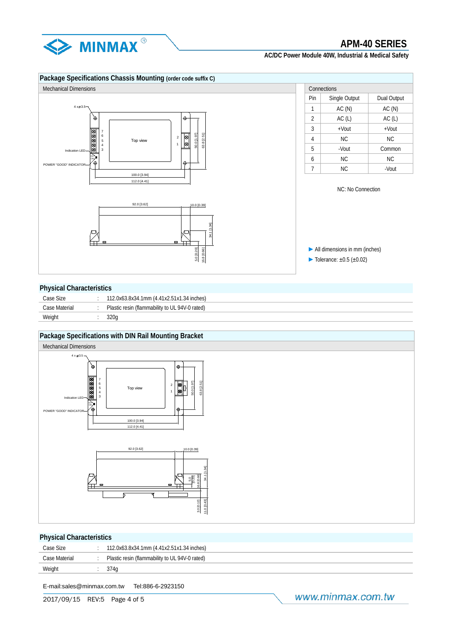

## **Package Specifications Chassis Mounting (order code suffix C)**



| Connections    |               |             |  |  |  |  |  |
|----------------|---------------|-------------|--|--|--|--|--|
| Pin            | Single Output | Dual Output |  |  |  |  |  |
| 1              | AC(N)         | AC(N)       |  |  |  |  |  |
| $\overline{2}$ | AC(L)         | AC(L)       |  |  |  |  |  |
| 3              | $+$ Vout      | $+$ Vout    |  |  |  |  |  |
| 4              | NC.           | <b>NC</b>   |  |  |  |  |  |
| 5              | -Vout         | Common      |  |  |  |  |  |
| 6              | NC.           | NC.         |  |  |  |  |  |
|                | <b>NC</b>     | -Vout       |  |  |  |  |  |

NC: No Connection

►All dimensions in mm (inches)  $\blacktriangleright$  Tolerance:  $\pm 0.5$  ( $\pm 0.02$ )

#### **Physical Characteristics**

| Case Size     | 112.0x63.8x34.1mm (4.41x2.51x1.34 inches)      |
|---------------|------------------------------------------------|
| Case Material | Plastic resin (flammability to UL 94V-0 rated) |
| Weight        | 320a                                           |
|               |                                                |

#### **Package Specifications with DIN Rail Mounting Bracket**



### **Physical Characteristics**

| Case Size     | 112.0x63.8x34.1mm (4.41x2.51x1.34 inches)      |
|---------------|------------------------------------------------|
| Case Material | Plastic resin (flammability to UL 94V-0 rated) |
| Weight        |                                                |

E-mail:sales@minmax.com.tw Tel:886-6-2923150